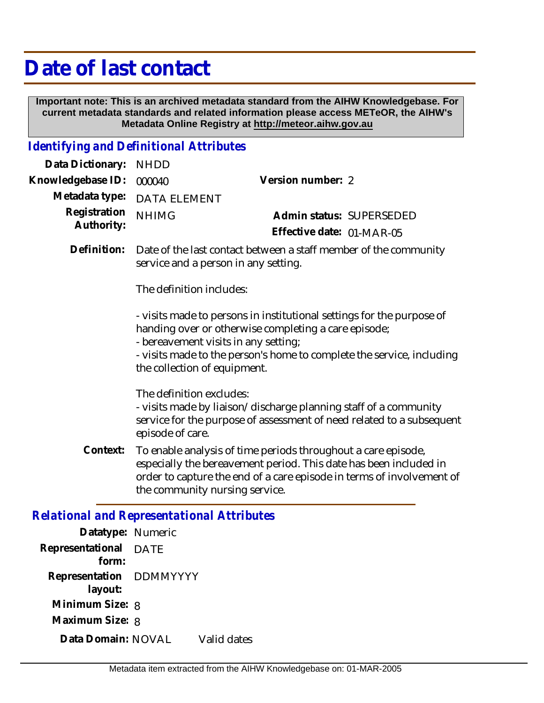## **Date of last contact**

 **Important note: This is an archived metadata standard from the AIHW Knowledgebase. For current metadata standards and related information please access METeOR, the AIHW's Metadata Online Registry at http://meteor.aihw.gov.au**

## *Identifying and Definitional Attributes*

| Data Dictionary:                                  | <b>NHDD</b>                                                                                                                                                                                                                                                                    |                                                                                                                                                                                                             |  |
|---------------------------------------------------|--------------------------------------------------------------------------------------------------------------------------------------------------------------------------------------------------------------------------------------------------------------------------------|-------------------------------------------------------------------------------------------------------------------------------------------------------------------------------------------------------------|--|
| Knowledgebase ID:                                 | 000040                                                                                                                                                                                                                                                                         | Version number: 2                                                                                                                                                                                           |  |
| Metadata type:                                    | <b>DATA ELEMENT</b>                                                                                                                                                                                                                                                            |                                                                                                                                                                                                             |  |
| Registration<br>Authority:                        | <b>NHIMG</b>                                                                                                                                                                                                                                                                   | Admin status: SUPERSEDED<br>Effective date: 01-MAR-05                                                                                                                                                       |  |
| Definition:                                       | Date of the last contact between a staff member of the community<br>service and a person in any setting.                                                                                                                                                                       |                                                                                                                                                                                                             |  |
|                                                   | The definition includes:                                                                                                                                                                                                                                                       |                                                                                                                                                                                                             |  |
|                                                   | - visits made to persons in institutional settings for the purpose of<br>handing over or otherwise completing a care episode;<br>- bereavement visits in any setting;<br>- visits made to the person's home to complete the service, including<br>the collection of equipment. |                                                                                                                                                                                                             |  |
|                                                   | The definition excludes:<br>- visits made by liaison/discharge planning staff of a community<br>service for the purpose of assessment of need related to a subsequent<br>episode of care.                                                                                      |                                                                                                                                                                                                             |  |
| Context:                                          | the community nursing service.                                                                                                                                                                                                                                                 | To enable analysis of time periods throughout a care episode,<br>especially the bereavement period. This date has been included in<br>order to capture the end of a care episode in terms of involvement of |  |
| <b>Relational and Representational Attributes</b> |                                                                                                                                                                                                                                                                                |                                                                                                                                                                                                             |  |
| Datatyno: Numeric                                 |                                                                                                                                                                                                                                                                                |                                                                                                                                                                                                             |  |

| Datatype: Numeric                     |             |             |
|---------------------------------------|-------------|-------------|
| Representational<br>form <sup>.</sup> | <b>DATE</b> |             |
| Representation DDMMYYYY<br>layout:    |             |             |
| Minimum Size: 8                       |             |             |
| Maximum Size: 8                       |             |             |
| Data Domain: NOVAL                    |             | Valid dates |